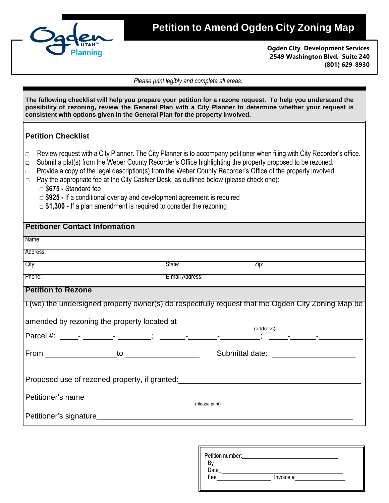

## **Petition to Amend Ogden City Zoning Map**

**Ogden City Development Services 2549 Washington Blvd. Suite 240 (801) 629-8930**

*Please print legibly and complete all areas:*

| The following checklist will help you prepare your petition for a rezone request. To help you understand the<br>possibility of rezoning, review the General Plan with a City Planner to determine whether your request is<br>consistent with options given in the General Plan for the property involved.                                                                                                                                                                                                                                                                                                                                                                              |  |  |
|----------------------------------------------------------------------------------------------------------------------------------------------------------------------------------------------------------------------------------------------------------------------------------------------------------------------------------------------------------------------------------------------------------------------------------------------------------------------------------------------------------------------------------------------------------------------------------------------------------------------------------------------------------------------------------------|--|--|
| <b>Petition Checklist</b>                                                                                                                                                                                                                                                                                                                                                                                                                                                                                                                                                                                                                                                              |  |  |
| Review request with a City Planner. The City Planner is to accompany petitioner when filing with City Recorder's office.<br>$\Box$<br>Submit a plat(s) from the Weber County Recorder's Office highlighting the property proposed to be rezoned.<br>$\Box$<br>Provide a copy of the legal description(s) from the Weber County Recorder's Office of the property involved.<br>$\Box$<br>Pay the appropriate fee at the City Cashier Desk, as outlined below (please check one):<br>$\Box$<br>$\Box$ \$675 - Standard fee<br>$\Box$ \$925 - If a conditional overlay and development agreement is required<br>$\Box$ \$1,300 - If a plan amendment is required to consider the rezoning |  |  |
| <b>Petitioner Contact Information</b>                                                                                                                                                                                                                                                                                                                                                                                                                                                                                                                                                                                                                                                  |  |  |
| Name:                                                                                                                                                                                                                                                                                                                                                                                                                                                                                                                                                                                                                                                                                  |  |  |
| Address:                                                                                                                                                                                                                                                                                                                                                                                                                                                                                                                                                                                                                                                                               |  |  |
| City:<br>State:<br>Zip:                                                                                                                                                                                                                                                                                                                                                                                                                                                                                                                                                                                                                                                                |  |  |
| Phone:<br>E-mail Address:                                                                                                                                                                                                                                                                                                                                                                                                                                                                                                                                                                                                                                                              |  |  |
| <b>Petition to Rezone</b>                                                                                                                                                                                                                                                                                                                                                                                                                                                                                                                                                                                                                                                              |  |  |
| I (we) the undersigned property owner(s) do respectfully request that the Ogden City Zoning Map be                                                                                                                                                                                                                                                                                                                                                                                                                                                                                                                                                                                     |  |  |
|                                                                                                                                                                                                                                                                                                                                                                                                                                                                                                                                                                                                                                                                                        |  |  |
|                                                                                                                                                                                                                                                                                                                                                                                                                                                                                                                                                                                                                                                                                        |  |  |
|                                                                                                                                                                                                                                                                                                                                                                                                                                                                                                                                                                                                                                                                                        |  |  |
| $From ________ to ________$<br>Submittal date: experience of the state of the state of the state of the state of the state of the state of the state of the state of the state of the state of the state of the state of the state of the state of the state                                                                                                                                                                                                                                                                                                                                                                                                                           |  |  |
|                                                                                                                                                                                                                                                                                                                                                                                                                                                                                                                                                                                                                                                                                        |  |  |
| Proposed use of rezoned property, if granted:                                                                                                                                                                                                                                                                                                                                                                                                                                                                                                                                                                                                                                          |  |  |
|                                                                                                                                                                                                                                                                                                                                                                                                                                                                                                                                                                                                                                                                                        |  |  |
| (please print)                                                                                                                                                                                                                                                                                                                                                                                                                                                                                                                                                                                                                                                                         |  |  |
|                                                                                                                                                                                                                                                                                                                                                                                                                                                                                                                                                                                                                                                                                        |  |  |

| Petition number: |           |  |
|------------------|-----------|--|
|                  |           |  |
| Date             |           |  |
| Fee              | Invoice # |  |
|                  |           |  |